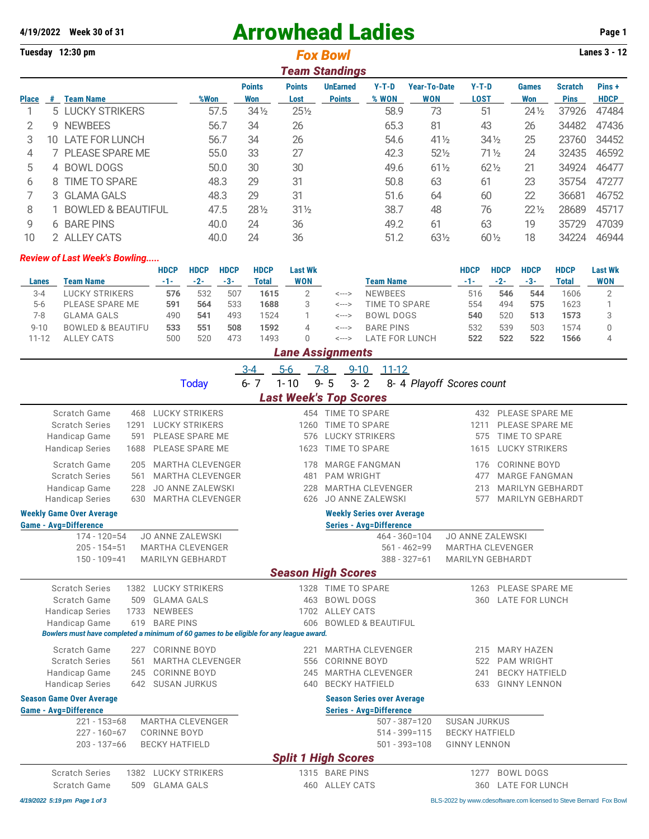## 4/19/2022 Week 30 of 31 **Arrowhead Ladies Page 1**

| Tuesday 12:30 pm |                       |                               |      |                      |                       |                                  | <b>Lanes 3 - 12</b> |                                   |                      |                     |                        |                      |  |  |  |
|------------------|-----------------------|-------------------------------|------|----------------------|-----------------------|----------------------------------|---------------------|-----------------------------------|----------------------|---------------------|------------------------|----------------------|--|--|--|
|                  | <b>Team Standings</b> |                               |      |                      |                       |                                  |                     |                                   |                      |                     |                        |                      |  |  |  |
| <b>Place</b>     | #                     | <b>Team Name</b>              | %Won | <b>Points</b><br>Won | <b>Points</b><br>Lost | <b>UnEarned</b><br><b>Points</b> | $Y-T-D$<br>% WON    | <b>Year-To-Date</b><br><b>WON</b> | Y-T-D<br><b>LOST</b> | <b>Games</b><br>Won | Scratch<br><b>Pins</b> | Pins+<br><b>HDCP</b> |  |  |  |
|                  |                       | 5 LUCKY STRIKERS              | 57.5 | $34\frac{1}{2}$      | $25\frac{1}{2}$       |                                  | 58.9                | 73                                | 51                   | $24\frac{1}{2}$     | 37926                  | 47484                |  |  |  |
| 2                | 9                     | <b>NEWBEES</b>                | 56.7 | 34                   | 26                    |                                  | 65.3                | 81                                | 43                   | 26                  | 34482                  | 47436                |  |  |  |
| 3                | 10.                   | <b>LATE FOR LUNCH</b>         | 56.7 | 34                   | 26                    |                                  | 54.6                | $41\frac{1}{2}$                   | $34\frac{1}{2}$      | 25                  | 23760                  | 34452                |  |  |  |
| 4                |                       | <b>PLEASE SPARE ME</b>        | 55.0 | 33                   | 27                    |                                  | 42.3                | $52\%$                            | $71\frac{1}{2}$      | 24                  | 32435                  | 46592                |  |  |  |
| 5                |                       | 4 BOWL DOGS                   | 50.0 | 30                   | 30                    |                                  | 49.6                | $61\frac{1}{2}$                   | $62\frac{1}{2}$      | 21                  | 34924                  | 46477                |  |  |  |
| 6                | 8                     | <b>TIME TO SPARE</b>          | 48.3 | 29                   | 31                    |                                  | 50.8                | 63                                | 61                   | 23                  | 35754                  | 47277                |  |  |  |
|                  |                       | 3 GLAMA GALS                  | 48.3 | 29                   | 31                    |                                  | 51.6                | 64                                | 60                   | 22                  | 36681                  | 46752                |  |  |  |
| 8                |                       | <b>BOWLED &amp; BEAUTIFUL</b> | 47.5 | $28\frac{1}{2}$      | $31\frac{1}{2}$       |                                  | 38.7                | 48                                | 76                   | $22\frac{1}{2}$     | 28689                  | 45717                |  |  |  |
| 9                | 6                     | <b>BARE PINS</b>              | 40.0 | 24                   | 36                    |                                  | 49.2                | 61                                | 63                   | 19                  | 35729                  | 47039                |  |  |  |
| 10               |                       | 2 ALLEY CATS                  | 40.0 | 24                   | 36                    |                                  | 51.2                | 631/2                             | $60\frac{1}{2}$      | 18                  | 34224                  | 46944                |  |  |  |

## *Review of Last Week's Bowling.....*

|           |                              | <b>HDCP</b> | <b>HDCP</b>  | <b>HDCP</b> | <b>HDCP</b> | Last Wk    |       |                  | <b>HDCP</b> | <b>HDCP</b> | <b>HDCP</b> | <b>HDCP</b> | <b>Last Wk</b> |
|-----------|------------------------------|-------------|--------------|-------------|-------------|------------|-------|------------------|-------------|-------------|-------------|-------------|----------------|
| Lanes     | <b>Team Name</b>             | $-1-$       | $-2-$        | -3-         | Total       | <b>WON</b> |       | Team Name        | -1-         | $-2-$       | $-3-$       | Total       | <b>WON</b>     |
| $3 - 4$   | LUCKY STRIKERS               | 576         | 532          | 507         | 1615        |            | <---> | <b>NEWBEES</b>   | 516         | 546         | 544         | 1606        |                |
| $5 - 6$   | PLEASE SPARE ME              | 591         | 564          | 533         | 1688        | 3          | <---> | TIME TO SPARE    | 554         | 494         | 575         | 1623        |                |
| 7-8       | <b>GLAMA GALS</b>            | 490         | $54^{\circ}$ | 493         | 1524        |            | <---> | BOWL DOGS        | 540         | 520         | 513         | 1573        |                |
| $9 - 10$  | <b>BOWLED &amp; BEAUTIFU</b> | 533         | 551          | 508         | 1592        | 4          | <---> | <b>BARE PINS</b> | 532         | 539         | 503         | 1574        |                |
| $11 - 12$ | ALLEY CATS                   | 500         | 520          | 473         | 1493        |            | <---> | LATE FOR LUNCH   | 522         | 522         | 522         | 1566        |                |
|           | <b>Lane Assignments</b>      |             |              |             |             |            |       |                  |             |             |             |             |                |

|                                                                                                                                                                                                  |                                                                                                          | $3 - 4$ | $5 - 6$                  | $7 - 8$<br>$9 - 10$<br>$11 - 12$                                                                   |                                                             |                                                                               |                                                                                            |  |  |  |  |  |  |
|--------------------------------------------------------------------------------------------------------------------------------------------------------------------------------------------------|----------------------------------------------------------------------------------------------------------|---------|--------------------------|----------------------------------------------------------------------------------------------------|-------------------------------------------------------------|-------------------------------------------------------------------------------|--------------------------------------------------------------------------------------------|--|--|--|--|--|--|
|                                                                                                                                                                                                  | <b>Today</b>                                                                                             | $6 - 7$ | $1 - 10$                 | $9 - 5$<br>$3 - 2$                                                                                 |                                                             | 8- 4 Playoff Scores count                                                     |                                                                                            |  |  |  |  |  |  |
|                                                                                                                                                                                                  | <b>Last Week's Top Scores</b>                                                                            |         |                          |                                                                                                    |                                                             |                                                                               |                                                                                            |  |  |  |  |  |  |
| Scratch Game<br>468<br><b>Scratch Series</b><br>1291<br>Handicap Game<br>591<br><b>Handicap Series</b><br>1688                                                                                   | <b>LUCKY STRIKERS</b><br><b>LUCKY STRIKERS</b><br>PLEASE SPARE ME<br>PLEASE SPARE ME                     |         | 1260<br>576<br>1623      | 454 TIME TO SPARE<br>TIME TO SPARE<br><b>LUCKY STRIKERS</b><br>TIME TO SPARE                       |                                                             | 1211<br>575<br>1615                                                           | 432 PLEASE SPARE ME<br>PLEASE SPARE ME<br>TIME TO SPARE<br><b>LUCKY STRIKERS</b>           |  |  |  |  |  |  |
| Scratch Game<br>205<br><b>Scratch Series</b><br>561<br>Handicap Game<br>228<br><b>Handicap Series</b><br>630                                                                                     | <b>MARTHA CLEVENGER</b><br><b>MARTHA CLEVENGER</b><br><b>JO ANNE ZALEWSKI</b><br><b>MARTHA CLEVENGER</b> |         | 178<br>481<br>228<br>626 | <b>MARGE FANGMAN</b><br><b>PAM WRIGHT</b><br><b>MARTHA CLEVENGER</b><br><b>JO ANNE ZALEWSKI</b>    |                                                             | 176<br>477<br>213<br>577                                                      | <b>CORINNE BOYD</b><br><b>MARGE FANGMAN</b><br><b>MARILYN GEBHARDT</b><br>MARILYN GEBHARDT |  |  |  |  |  |  |
| <b>Weekly Game Over Average</b>                                                                                                                                                                  |                                                                                                          |         |                          | <b>Weekly Series over Average</b>                                                                  |                                                             |                                                                               |                                                                                            |  |  |  |  |  |  |
| <b>Game - Avg=Difference</b>                                                                                                                                                                     |                                                                                                          |         |                          | <b>Series - Avg=Difference</b>                                                                     |                                                             |                                                                               |                                                                                            |  |  |  |  |  |  |
| $174 - 120 = 54$<br>$205 - 154 = 51$<br>$150 - 109 = 41$                                                                                                                                         | <b>JO ANNE ZALEWSKI</b><br><b>MARTHA CLEVENGER</b><br>MARILYN GEBHARDT                                   |         |                          |                                                                                                    | $464 - 360 = 104$<br>$561 - 462 = 99$<br>$388 - 327 = 61$   | <b>JO ANNE ZALEWSKI</b><br><b>MARTHA CLEVENGER</b><br><b>MARILYN GEBHARDT</b> |                                                                                            |  |  |  |  |  |  |
|                                                                                                                                                                                                  |                                                                                                          |         |                          | <b>Season High Scores</b>                                                                          |                                                             |                                                                               |                                                                                            |  |  |  |  |  |  |
| <b>Scratch Series</b><br>Scratch Game<br>509<br><b>Handicap Series</b><br>1733<br>Handicap Game<br>619<br>Bowlers must have completed a minimum of 60 games to be eligible for any league award. | 1382 LUCKY STRIKERS<br><b>GLAMA GALS</b><br><b>NEWBEES</b><br><b>BARE PINS</b>                           |         | 463<br>1702<br>606       | 1328 TIME TO SPARE<br><b>BOWL DOGS</b><br><b>ALLEY CATS</b><br><b>BOWLED &amp; BEAUTIFUL</b>       |                                                             | 1263<br>360                                                                   | PLEASE SPARE ME<br><b>LATE FOR LUNCH</b>                                                   |  |  |  |  |  |  |
| Scratch Game<br>227<br><b>Scratch Series</b><br>561<br>Handicap Game<br>245<br><b>Handicap Series</b><br>642                                                                                     | <b>CORINNE BOYD</b><br><b>MARTHA CLEVENGER</b><br><b>CORINNE BOYD</b><br><b>SUSAN JURKUS</b>             |         | 221<br>556<br>245<br>640 | <b>MARTHA CLEVENGER</b><br><b>CORINNE BOYD</b><br><b>MARTHA CLEVENGER</b><br><b>BECKY HATFIELD</b> |                                                             | 215<br>522<br>241<br>633                                                      | <b>MARY HAZEN</b><br><b>PAM WRIGHT</b><br><b>BECKY HATFIELD</b><br><b>GINNY LENNON</b>     |  |  |  |  |  |  |
| <b>Season Game Over Average</b><br><b>Game - Avg=Difference</b>                                                                                                                                  |                                                                                                          |         |                          | <b>Season Series over Average</b><br><b>Series - Avg=Difference</b>                                |                                                             |                                                                               |                                                                                            |  |  |  |  |  |  |
| $221 - 153 = 68$<br>$227 - 160 = 67$<br>$203 - 137 = 66$                                                                                                                                         | <b>MARTHA CLEVENGER</b><br><b>CORINNE BOYD</b><br><b>BECKY HATFIELD</b>                                  |         |                          |                                                                                                    | $507 - 387 = 120$<br>$514 - 399 = 115$<br>$501 - 393 = 108$ | <b>SUSAN JURKUS</b><br><b>BECKY HATFIELD</b><br><b>GINNY LENNON</b>           |                                                                                            |  |  |  |  |  |  |
|                                                                                                                                                                                                  |                                                                                                          |         |                          | <b>Split 1 High Scores</b>                                                                         |                                                             |                                                                               |                                                                                            |  |  |  |  |  |  |
| <b>Scratch Series</b><br>Scratch Game<br>509                                                                                                                                                     | 1382 LUCKY STRIKERS<br><b>GLAMA GALS</b>                                                                 |         | 460                      | 1315 BARE PINS<br><b>ALLEY CATS</b>                                                                |                                                             | 1277<br>360                                                                   | <b>BOWL DOGS</b><br><b>LATE FOR LUNCH</b>                                                  |  |  |  |  |  |  |

*4/19/2022 5:19 pm Page 1 of 3* BLS-2022 by [www.cdesoftware.com l](www.cdesoftware.com)icensed to Steve Bernard Fox Bowl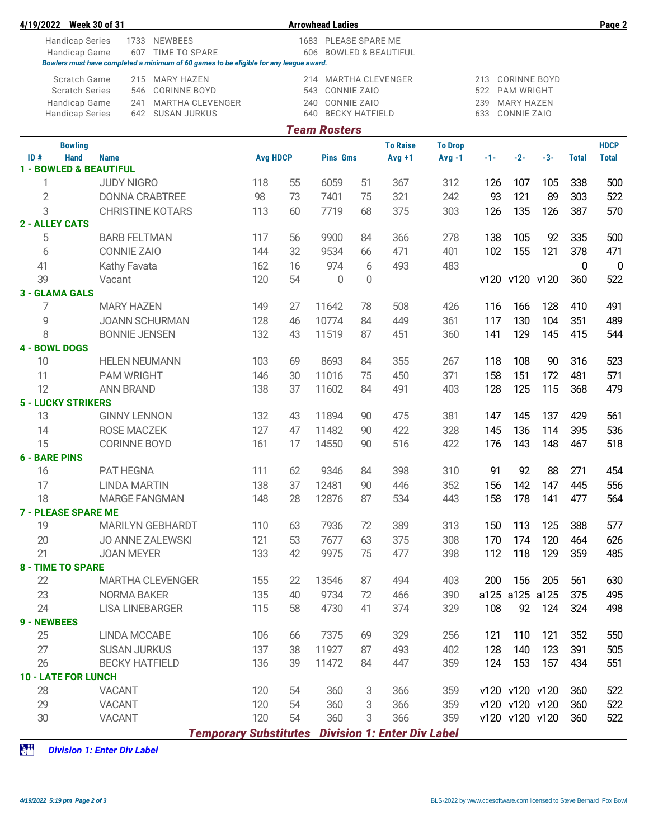| 4/19/2022                                           | <b>Week 30 of 31</b>                                                                   |                        |    | <b>Arrowhead Ladies</b>      |                |                 |                |          |                     |       |              | Page 2         |
|-----------------------------------------------------|----------------------------------------------------------------------------------------|------------------------|----|------------------------------|----------------|-----------------|----------------|----------|---------------------|-------|--------------|----------------|
|                                                     | 1733 NEWBEES<br><b>Handicap Series</b>                                                 | 1683 PLEASE SPARE ME   |    |                              |                |                 |                |          |                     |       |              |                |
|                                                     | 607<br>TIME TO SPARE<br>Handicap Game                                                  | 606 BOWLED & BEAUTIFUL |    |                              |                |                 |                |          |                     |       |              |                |
|                                                     | Bowlers must have completed a minimum of 60 games to be eligible for any league award. |                        |    |                              |                |                 |                |          |                     |       |              |                |
|                                                     | <b>Scratch Game</b><br>215 MARY HAZEN                                                  |                        |    | 214 MARTHA CLEVENGER         |                |                 |                | 213      | <b>CORINNE BOYD</b> |       |              |                |
|                                                     | <b>CORINNE BOYD</b><br><b>Scratch Series</b><br>546                                    |                        |    | 543<br>CONNIE ZAIO           |                |                 |                | 522      | <b>PAM WRIGHT</b>   |       |              |                |
|                                                     | MARTHA CLEVENGER<br>Handicap Game<br>241                                               |                        |    | 240                          | CONNIE ZAIO    |                 |                | 239      | <b>MARY HAZEN</b>   |       |              |                |
|                                                     | <b>Handicap Series</b><br>642 SUSAN JURKUS                                             |                        |    | <b>BECKY HATFIELD</b><br>640 |                |                 |                | 633      | CONNIE ZAIO         |       |              |                |
|                                                     |                                                                                        |                        |    | <b>Team Rosters</b>          |                |                 |                |          |                     |       |              |                |
|                                                     | <b>Bowling</b>                                                                         |                        |    |                              |                | <b>To Raise</b> | <b>To Drop</b> |          |                     |       |              | <b>HDCP</b>    |
| ID#                                                 | <b>Hand</b><br><b>Name</b><br>1 - BOWLED & BEAUTIFUL                                   | <b>Avg HDCP</b>        |    | <b>Pins Gms</b>              |                | $Avg +1$        | $Avg -1$       | $-1 - 1$ | $-2-$               | $-3-$ | <b>Total</b> | <b>Total</b>   |
| 1                                                   | <b>JUDY NIGRO</b>                                                                      | 118                    | 55 | 6059                         | 51             | 367             | 312            | 126      | 107                 | 105   | 338          | 500            |
| $\overline{2}$                                      | <b>DONNA CRABTREE</b>                                                                  | 98                     | 73 | 7401                         | 75             | 321             | 242            | 93       | 121                 | 89    | 303          | 522            |
| 3                                                   | <b>CHRISTINE KOTARS</b>                                                                | 113                    | 60 | 7719                         | 68             | 375             | 303            | 126      | 135                 | 126   | 387          | 570            |
| <b>2 - ALLEY CATS</b>                               |                                                                                        |                        |    |                              |                |                 |                |          |                     |       |              |                |
| 5                                                   | <b>BARB FELTMAN</b>                                                                    | 117                    | 56 | 9900                         | 84             | 366             | 278            | 138      | 105                 | 92    | 335          | 500            |
| 6                                                   | <b>CONNIE ZAIO</b>                                                                     | 144                    | 32 | 9534                         | 66             | 471             | 401            | 102      | 155                 | 121   | 378          | 471            |
|                                                     |                                                                                        | 162                    | 16 | 974                          |                | 493             | 483            |          |                     |       |              | $\overline{0}$ |
| 41<br>39                                            | Kathy Favata                                                                           |                        | 54 |                              | 6              |                 |                |          |                     |       | $\mathbf{0}$ | 522            |
|                                                     | Vacant                                                                                 | 120                    |    | $\overline{0}$               | $\overline{0}$ |                 |                |          | v120 v120 v120      |       | 360          |                |
| 7                                                   | 3 - GLAMA GALS<br><b>MARY HAZEN</b>                                                    | 149                    | 27 | 11642                        | 78             | 508             | 426            | 116      | 166                 | 128   | 410          | 491            |
| 9                                                   | <b>JOANN SCHURMAN</b>                                                                  | 128                    | 46 | 10774                        |                | 449             | 361            | 117      | 130                 | 104   | 351          | 489            |
| 8                                                   |                                                                                        | 132                    | 43 |                              | 84<br>87       | 451             | 360            |          |                     | 145   | 415          | 544            |
|                                                     | <b>BONNIE JENSEN</b>                                                                   |                        |    | 11519                        |                |                 |                | 141      | 129                 |       |              |                |
| <b>4 - BOWL DOGS</b><br>10                          | <b>HELEN NEUMANN</b>                                                                   | 103                    | 69 | 8693                         | 84             | 355             | 267            | 118      | 108                 | 90    | 316          | 523            |
|                                                     |                                                                                        |                        |    |                              |                |                 |                |          |                     |       |              |                |
| 11                                                  | <b>PAM WRIGHT</b>                                                                      | 146                    | 30 | 11016                        | 75             | 450             | 371            | 158      | 151                 | 172   | 481          | 571            |
| 12<br><b>ANN BRAND</b><br><b>5 - LUCKY STRIKERS</b> |                                                                                        | 138                    | 37 | 11602                        | 84             | 491             | 403            | 128      | 125                 | 115   | 368          | 479            |
|                                                     |                                                                                        |                        |    |                              |                |                 |                |          |                     |       |              |                |
| 13                                                  | <b>GINNY LENNON</b>                                                                    | 132                    | 43 | 11894                        | 90             | 475             | 381            | 147      | 145                 | 137   | 429          | 561            |
| 14                                                  | ROSE MACZEK                                                                            | 127                    | 47 | 11482                        | 90             | 422             | 328            | 145      | 136                 | 114   | 395          | 536            |
| 15                                                  | <b>CORINNE BOYD</b>                                                                    | 161                    | 17 | 14550                        | 90             | 516             | 422            | 176      | 143                 | 148   | 467          | 518            |
| <b>6 - BARE PINS</b>                                |                                                                                        |                        |    |                              |                |                 |                |          |                     |       |              |                |
| 16                                                  | PAT HEGNA                                                                              | 111                    | 62 | 9346                         | 84             | 398             | 310            | 91       | 92                  | 88    | 271          | 454            |
| 17                                                  | <b>LINDA MARTIN</b>                                                                    | 138                    | 37 | 12481                        | 90             | 446             | 352            | 156      | 142                 | 147   | 445          | 556            |
| 18                                                  | <b>MARGE FANGMAN</b>                                                                   | 148                    | 28 | 12876                        | 87             | 534             | 443            | 158      | 178                 | 141   | 477          | 564            |
|                                                     | <b>7 - PLEASE SPARE ME</b>                                                             |                        |    |                              |                |                 |                |          |                     |       |              |                |
| 19                                                  | <b>MARILYN GEBHARDT</b>                                                                | 110                    | 63 | 7936                         | 72             | 389             | 313            | 150      | 113                 | 125   | 388          | 577            |
| 20                                                  | <b>JO ANNE ZALEWSKI</b>                                                                | 121                    | 53 | 7677                         | 63             | 375             | 308            | 170      | 174                 | 120   | 464          | 626            |
| 21                                                  | <b>JOAN MEYER</b>                                                                      | 133                    | 42 | 9975                         | 75             | 477             | 398            | 112      | 118                 | 129   | 359          | 485            |
|                                                     | <b>8 - TIME TO SPARE</b>                                                               |                        |    |                              |                |                 |                |          |                     |       |              |                |
| 22                                                  | <b>MARTHA CLEVENGER</b>                                                                | 155                    | 22 | 13546                        | 87             | 494             | 403            | 200      | 156                 | 205   | 561          | 630            |
| 23                                                  | <b>NORMA BAKER</b>                                                                     | 135                    | 40 | 9734                         | 72             | 466             | 390            |          | a125 a125 a125      |       | 375          | 495            |
| 24                                                  | <b>LISA LINEBARGER</b>                                                                 | 115                    | 58 | 4730                         | 41             | 374             | 329            | 108      | 92                  | 124   | 324          | 498            |
| 9 - NEWBEES                                         |                                                                                        |                        |    |                              |                |                 |                |          |                     |       |              |                |
| 25                                                  | LINDA MCCABE                                                                           | 106                    | 66 | 7375                         | 69             | 329             | 256            | 121      | 110                 | 121   | 352          | 550            |
| 27                                                  | <b>SUSAN JURKUS</b>                                                                    | 137                    | 38 | 11927                        | 87             | 493             | 402            | 128      | 140                 | 123   | 391          | 505            |
| 26                                                  | <b>BECKY HATFIELD</b>                                                                  | 136                    | 39 | 11472                        | 84             | 447             | 359            | 124      | 153                 | 157   | 434          | 551            |
|                                                     | <b>10 - LATE FOR LUNCH</b>                                                             |                        |    |                              |                |                 |                |          |                     |       |              |                |
| 28                                                  | <b>VACANT</b>                                                                          | 120                    | 54 | 360                          | 3              | 366             | 359            |          | v120 v120 v120      |       | 360          | 522            |
| 29                                                  | <b>VACANT</b>                                                                          | 120                    | 54 | 360                          | 3              | 366             | 359            |          | v120 v120 v120      |       | 360          | 522            |
| 30                                                  | <b>VACANT</b>                                                                          | 120                    | 54 | 360                          | 3              | 366             | 359            |          | v120 v120 v120      |       | 360          | 522            |
|                                                     | <b>Temporary Substitutes Division 1: Enter Div Label</b>                               |                        |    |                              |                |                 |                |          |                     |       |              |                |

**ZNN** *Division 1: Enter Div Label*